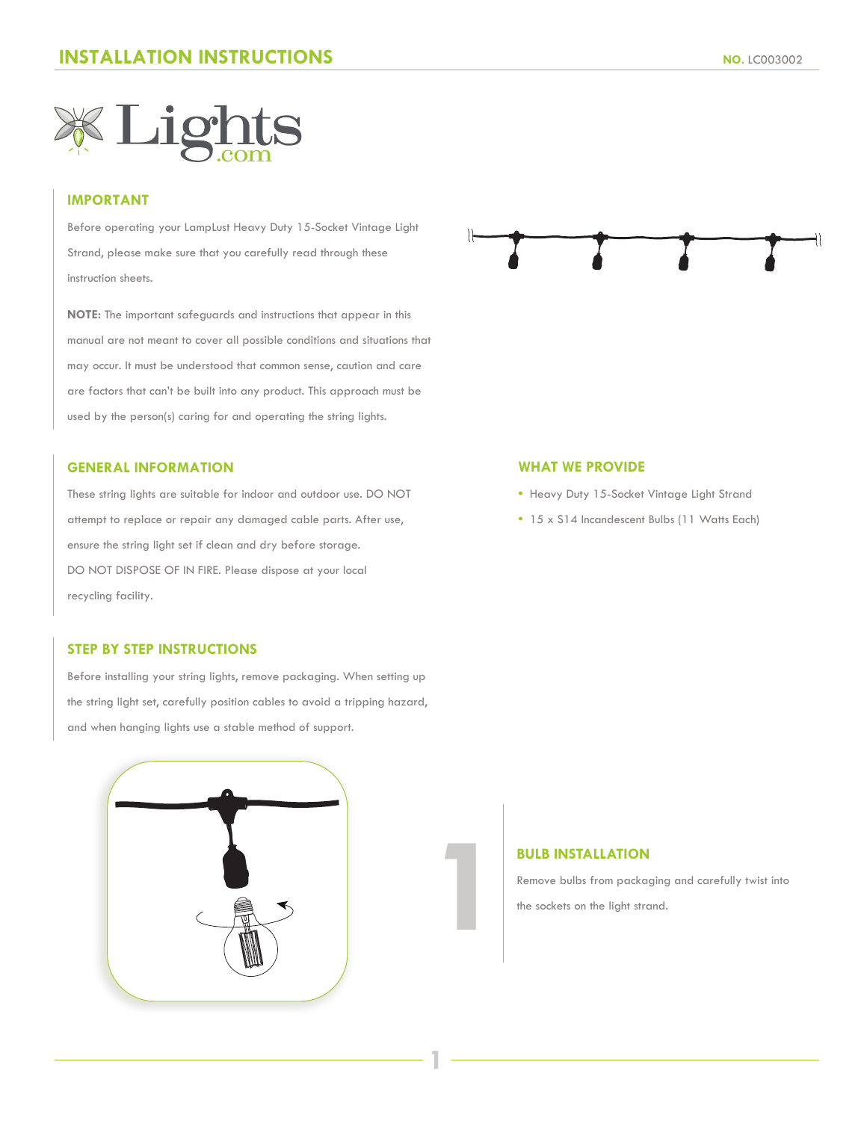

## **IMPORTANT**

Before operating your LampLust Heavy Duty 15-Socket Vintage Light Strand, please make sure that you carefully read through these instruction sheets.

**NOTE:** The important safeguards and instructions that appear in this manual are not meant to cover all possible conditions and situations that may occur. It must be understood that common sense, caution and care are factors that can't be built into any product. This approach must be used by the person(s) caring for and operating the string lights.

### **GENERAL INFORMATION**

These string lights are suitable for indoor and outdoor use. DO NOT attempt to replace or repair any damaged cable parts. After use, ensure the string light set if clean and dry before storage. DO NOT DISPOSE OF IN FIRE. Please dispose at your local recycling facility.

# **STEP BY STEP INSTRUCTIONS**

Before installing your string lights, remove packaging. When setting up the string light set, carefully position cables to avoid a tripping hazard, and when hanging lights use a stable method of support.





#### **WHAT WE PROVIDE**

- Heavy Duty 15-Socket Vintage Light Strand
- 15 x S14 Incandescent Bulbs (11 Watts Each)

## **BULB INSTALLATION**

**1**

**1**

Remove bulbs from packaging and carefully twist into the sockets on the light strand.